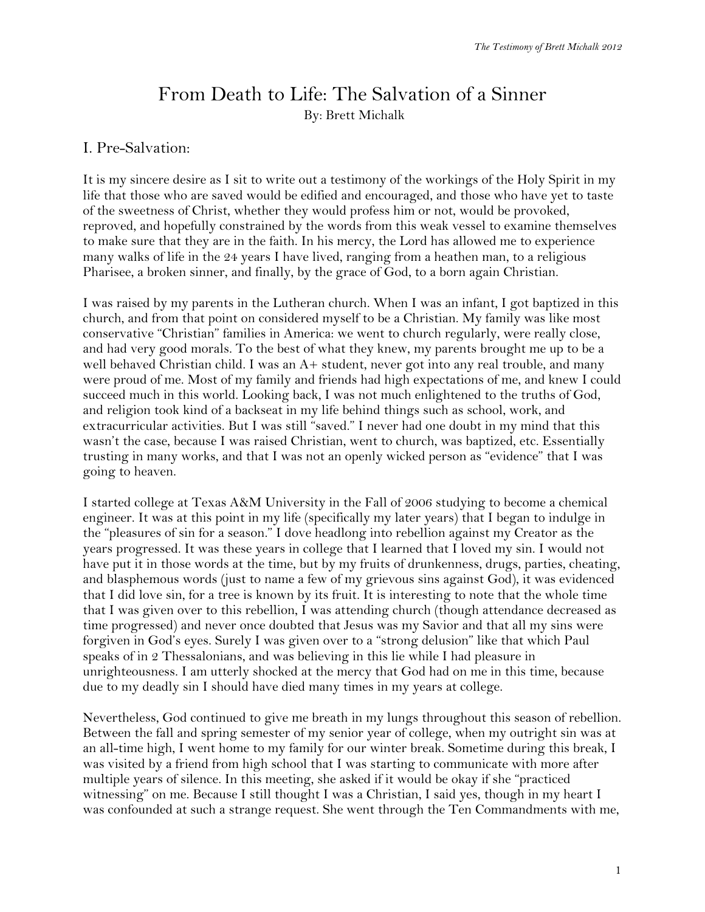## From Death to Life: The Salvation of a Sinner By: Brett Michalk

## I. Pre-Salvation:

It is my sincere desire as I sit to write out a testimony of the workings of the Holy Spirit in my life that those who are saved would be edified and encouraged, and those who have yet to taste of the sweetness of Christ, whether they would profess him or not, would be provoked, reproved, and hopefully constrained by the words from this weak vessel to examine themselves to make sure that they are in the faith. In his mercy, the Lord has allowed me to experience many walks of life in the 24 years I have lived, ranging from a heathen man, to a religious Pharisee, a broken sinner, and finally, by the grace of God, to a born again Christian.

I was raised by my parents in the Lutheran church. When I was an infant, I got baptized in this church, and from that point on considered myself to be a Christian. My family was like most conservative "Christian" families in America: we went to church regularly, were really close, and had very good morals. To the best of what they knew, my parents brought me up to be a well behaved Christian child. I was an A+ student, never got into any real trouble, and many were proud of me. Most of my family and friends had high expectations of me, and knew I could succeed much in this world. Looking back, I was not much enlightened to the truths of God, and religion took kind of a backseat in my life behind things such as school, work, and extracurricular activities. But I was still "saved." I never had one doubt in my mind that this wasn't the case, because I was raised Christian, went to church, was baptized, etc. Essentially trusting in many works, and that I was not an openly wicked person as "evidence" that I was going to heaven.

I started college at Texas A&M University in the Fall of 2006 studying to become a chemical engineer. It was at this point in my life (specifically my later years) that I began to indulge in the "pleasures of sin for a season." I dove headlong into rebellion against my Creator as the years progressed. It was these years in college that I learned that I loved my sin. I would not have put it in those words at the time, but by my fruits of drunkenness, drugs, parties, cheating, and blasphemous words (just to name a few of my grievous sins against God), it was evidenced that I did love sin, for a tree is known by its fruit. It is interesting to note that the whole time that I was given over to this rebellion, I was attending church (though attendance decreased as time progressed) and never once doubted that Jesus was my Savior and that all my sins were forgiven in God's eyes. Surely I was given over to a "strong delusion" like that which Paul speaks of in 2 Thessalonians, and was believing in this lie while I had pleasure in unrighteousness. I am utterly shocked at the mercy that God had on me in this time, because due to my deadly sin I should have died many times in my years at college.

Nevertheless, God continued to give me breath in my lungs throughout this season of rebellion. Between the fall and spring semester of my senior year of college, when my outright sin was at an all-time high, I went home to my family for our winter break. Sometime during this break, I was visited by a friend from high school that I was starting to communicate with more after multiple years of silence. In this meeting, she asked if it would be okay if she "practiced witnessing" on me. Because I still thought I was a Christian, I said yes, though in my heart I was confounded at such a strange request. She went through the Ten Commandments with me,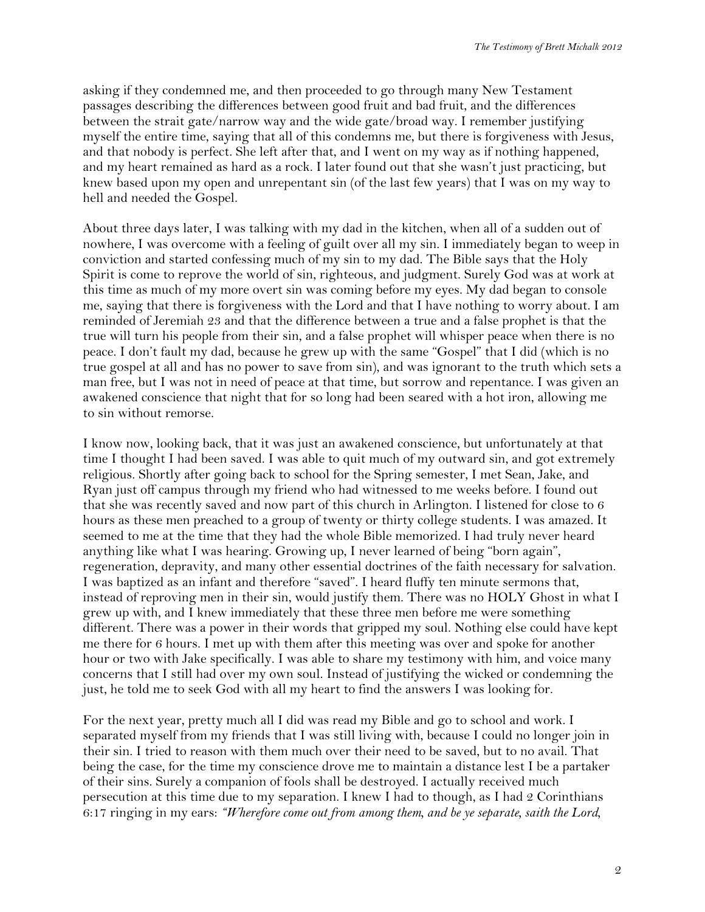asking if they condemned me, and then proceeded to go through many New Testament passages describing the differences between good fruit and bad fruit, and the differences between the strait gate/narrow way and the wide gate/broad way. I remember justifying myself the entire time, saying that all of this condemns me, but there is forgiveness with Jesus, and that nobody is perfect. She left after that, and I went on my way as if nothing happened, and my heart remained as hard as a rock. I later found out that she wasn't just practicing, but knew based upon my open and unrepentant sin (of the last few years) that I was on my way to hell and needed the Gospel.

About three days later, I was talking with my dad in the kitchen, when all of a sudden out of nowhere, I was overcome with a feeling of guilt over all my sin. I immediately began to weep in conviction and started confessing much of my sin to my dad. The Bible says that the Holy Spirit is come to reprove the world of sin, righteous, and judgment. Surely God was at work at this time as much of my more overt sin was coming before my eyes. My dad began to console me, saying that there is forgiveness with the Lord and that I have nothing to worry about. I am reminded of Jeremiah 23 and that the difference between a true and a false prophet is that the true will turn his people from their sin, and a false prophet will whisper peace when there is no peace. I don't fault my dad, because he grew up with the same "Gospel" that I did (which is no true gospel at all and has no power to save from sin), and was ignorant to the truth which sets a man free, but I was not in need of peace at that time, but sorrow and repentance. I was given an awakened conscience that night that for so long had been seared with a hot iron, allowing me to sin without remorse.

I know now, looking back, that it was just an awakened conscience, but unfortunately at that time I thought I had been saved. I was able to quit much of my outward sin, and got extremely religious. Shortly after going back to school for the Spring semester, I met Sean, Jake, and Ryan just off campus through my friend who had witnessed to me weeks before. I found out that she was recently saved and now part of this church in Arlington. I listened for close to 6 hours as these men preached to a group of twenty or thirty college students. I was amazed. It seemed to me at the time that they had the whole Bible memorized. I had truly never heard anything like what I was hearing. Growing up, I never learned of being "born again", regeneration, depravity, and many other essential doctrines of the faith necessary for salvation. I was baptized as an infant and therefore "saved". I heard fluffy ten minute sermons that, instead of reproving men in their sin, would justify them. There was no HOLY Ghost in what I grew up with, and I knew immediately that these three men before me were something different. There was a power in their words that gripped my soul. Nothing else could have kept me there for 6 hours. I met up with them after this meeting was over and spoke for another hour or two with Jake specifically. I was able to share my testimony with him, and voice many concerns that I still had over my own soul. Instead of justifying the wicked or condemning the just, he told me to seek God with all my heart to find the answers I was looking for.

For the next year, pretty much all I did was read my Bible and go to school and work. I separated myself from my friends that I was still living with, because I could no longer join in their sin. I tried to reason with them much over their need to be saved, but to no avail. That being the case, for the time my conscience drove me to maintain a distance lest I be a partaker of their sins. Surely a companion of fools shall be destroyed. I actually received much persecution at this time due to my separation. I knew I had to though, as I had 2 Corinthians 6:17 ringing in my ears: *"Wherefore come out from among them, and be ye separate, saith the Lord,*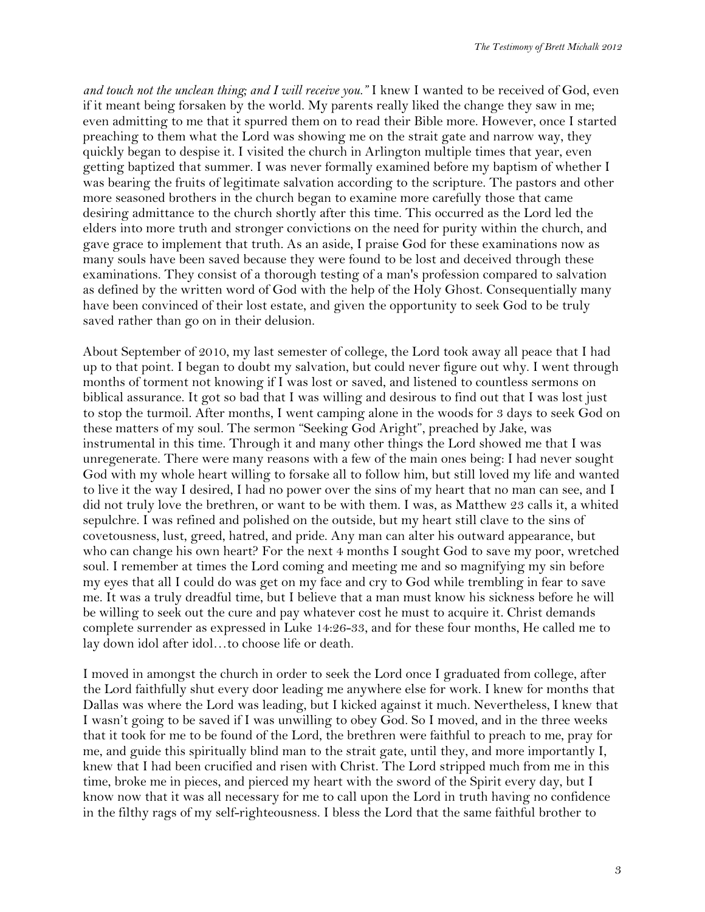*and touch not the unclean thing; and I will receive you."* I knew I wanted to be received of God, even if it meant being forsaken by the world. My parents really liked the change they saw in me; even admitting to me that it spurred them on to read their Bible more. However, once I started preaching to them what the Lord was showing me on the strait gate and narrow way, they quickly began to despise it. I visited the church in Arlington multiple times that year, even getting baptized that summer. I was never formally examined before my baptism of whether I was bearing the fruits of legitimate salvation according to the scripture. The pastors and other more seasoned brothers in the church began to examine more carefully those that came desiring admittance to the church shortly after this time. This occurred as the Lord led the elders into more truth and stronger convictions on the need for purity within the church, and gave grace to implement that truth. As an aside, I praise God for these examinations now as many souls have been saved because they were found to be lost and deceived through these examinations. They consist of a thorough testing of a man's profession compared to salvation as defined by the written word of God with the help of the Holy Ghost. Consequentially many have been convinced of their lost estate, and given the opportunity to seek God to be truly saved rather than go on in their delusion.

About September of 2010, my last semester of college, the Lord took away all peace that I had up to that point. I began to doubt my salvation, but could never figure out why. I went through months of torment not knowing if I was lost or saved, and listened to countless sermons on biblical assurance. It got so bad that I was willing and desirous to find out that I was lost just to stop the turmoil. After months, I went camping alone in the woods for 3 days to seek God on these matters of my soul. The sermon "Seeking God Aright", preached by Jake, was instrumental in this time. Through it and many other things the Lord showed me that I was unregenerate. There were many reasons with a few of the main ones being: I had never sought God with my whole heart willing to forsake all to follow him, but still loved my life and wanted to live it the way I desired, I had no power over the sins of my heart that no man can see, and I did not truly love the brethren, or want to be with them. I was, as Matthew 23 calls it, a whited sepulchre. I was refined and polished on the outside, but my heart still clave to the sins of covetousness, lust, greed, hatred, and pride. Any man can alter his outward appearance, but who can change his own heart? For the next 4 months I sought God to save my poor, wretched soul. I remember at times the Lord coming and meeting me and so magnifying my sin before my eyes that all I could do was get on my face and cry to God while trembling in fear to save me. It was a truly dreadful time, but I believe that a man must know his sickness before he will be willing to seek out the cure and pay whatever cost he must to acquire it. Christ demands complete surrender as expressed in Luke 14:26-33, and for these four months, He called me to lay down idol after idol…to choose life or death.

I moved in amongst the church in order to seek the Lord once I graduated from college, after the Lord faithfully shut every door leading me anywhere else for work. I knew for months that Dallas was where the Lord was leading, but I kicked against it much. Nevertheless, I knew that I wasn't going to be saved if I was unwilling to obey God. So I moved, and in the three weeks that it took for me to be found of the Lord, the brethren were faithful to preach to me, pray for me, and guide this spiritually blind man to the strait gate, until they, and more importantly I, knew that I had been crucified and risen with Christ. The Lord stripped much from me in this time, broke me in pieces, and pierced my heart with the sword of the Spirit every day, but I know now that it was all necessary for me to call upon the Lord in truth having no confidence in the filthy rags of my self-righteousness. I bless the Lord that the same faithful brother to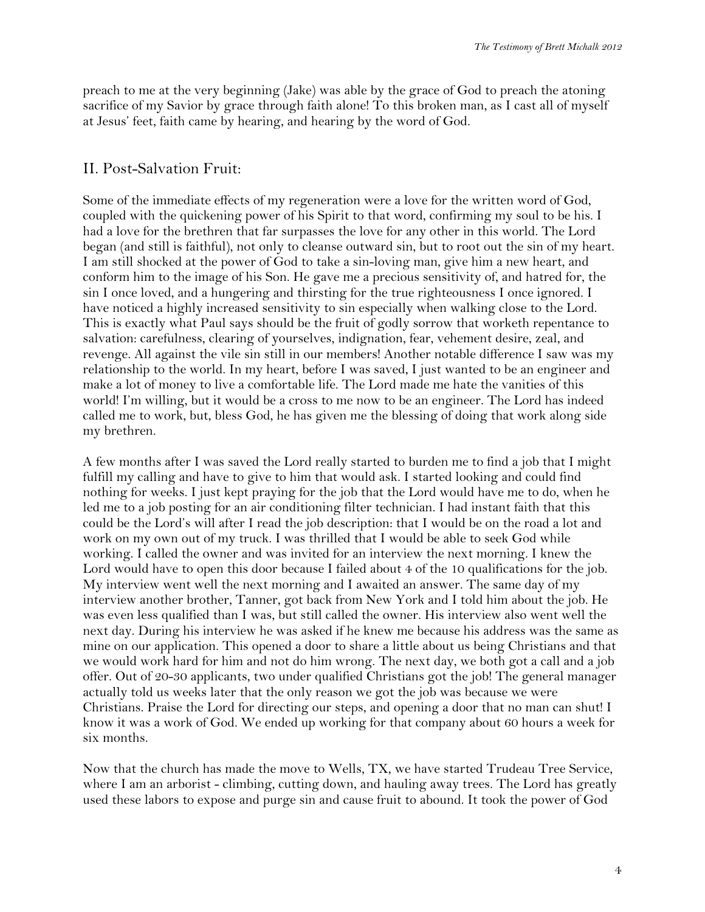preach to me at the very beginning (Jake) was able by the grace of God to preach the atoning sacrifice of my Savior by grace through faith alone! To this broken man, as I cast all of myself at Jesus' feet, faith came by hearing, and hearing by the word of God.

## II. Post-Salvation Fruit:

Some of the immediate effects of my regeneration were a love for the written word of God, coupled with the quickening power of his Spirit to that word, confirming my soul to be his. I had a love for the brethren that far surpasses the love for any other in this world. The Lord began (and still is faithful), not only to cleanse outward sin, but to root out the sin of my heart. I am still shocked at the power of God to take a sin-loving man, give him a new heart, and conform him to the image of his Son. He gave me a precious sensitivity of, and hatred for, the sin I once loved, and a hungering and thirsting for the true righteousness I once ignored. I have noticed a highly increased sensitivity to sin especially when walking close to the Lord. This is exactly what Paul says should be the fruit of godly sorrow that worketh repentance to salvation: carefulness, clearing of yourselves, indignation, fear, vehement desire, zeal, and revenge. All against the vile sin still in our members! Another notable difference I saw was my relationship to the world. In my heart, before I was saved, I just wanted to be an engineer and make a lot of money to live a comfortable life. The Lord made me hate the vanities of this world! I'm willing, but it would be a cross to me now to be an engineer. The Lord has indeed called me to work, but, bless God, he has given me the blessing of doing that work along side my brethren.

A few months after I was saved the Lord really started to burden me to find a job that I might fulfill my calling and have to give to him that would ask. I started looking and could find nothing for weeks. I just kept praying for the job that the Lord would have me to do, when he led me to a job posting for an air conditioning filter technician. I had instant faith that this could be the Lord's will after I read the job description: that I would be on the road a lot and work on my own out of my truck. I was thrilled that I would be able to seek God while working. I called the owner and was invited for an interview the next morning. I knew the Lord would have to open this door because I failed about 4 of the 10 qualifications for the job. My interview went well the next morning and I awaited an answer. The same day of my interview another brother, Tanner, got back from New York and I told him about the job. He was even less qualified than I was, but still called the owner. His interview also went well the next day. During his interview he was asked if he knew me because his address was the same as mine on our application. This opened a door to share a little about us being Christians and that we would work hard for him and not do him wrong. The next day, we both got a call and a job offer. Out of 20-30 applicants, two under qualified Christians got the job! The general manager actually told us weeks later that the only reason we got the job was because we were Christians. Praise the Lord for directing our steps, and opening a door that no man can shut! I know it was a work of God. We ended up working for that company about 60 hours a week for six months.

Now that the church has made the move to Wells, TX, we have started Trudeau Tree Service, where I am an arborist - climbing, cutting down, and hauling away trees. The Lord has greatly used these labors to expose and purge sin and cause fruit to abound. It took the power of God